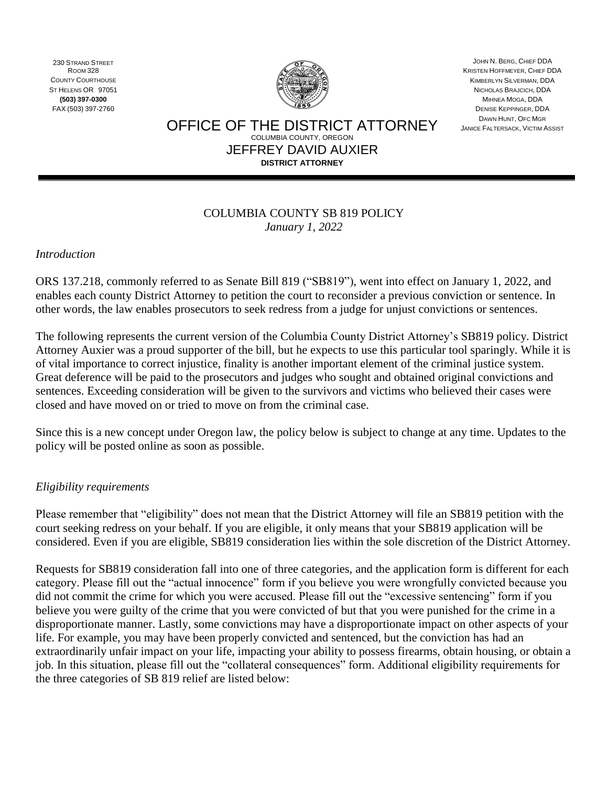230 STRAND STREET ROOM 328 COUNTY COURTHOUSE ST HELENS OR 97051 **(503) 397-0300** FAX (503) 397-2760



JOHN N. BERG, CHIEF DDA KRISTEN HOFFMEYER, CHIEF DDA KIMBERLYN SILVERMAN, DDA NICHOLAS BRAJCICH, DDA MIHNEA MOGA, DDA DENISE KEPPINGER, DDA DAWN HUNT, OFC MGR JANICE FALTERSACK, VICTIM ASSIST

OFFICE OF THE DISTRICT ATTORNEY COLUMBIA COUNTY, OREGON JEFFREY DAVID AUXIER **DISTRICT ATTORNEY**

#### COLUMBIA COUNTY SB 819 POLICY *January 1*, *2022*

*Introduction* 

ORS 137.218, commonly referred to as Senate Bill 819 ("SB819"), went into effect on January 1, 2022, and enables each county District Attorney to petition the court to reconsider a previous conviction or sentence. In other words, the law enables prosecutors to seek redress from a judge for unjust convictions or sentences.

The following represents the current version of the Columbia County District Attorney's SB819 policy. District Attorney Auxier was a proud supporter of the bill, but he expects to use this particular tool sparingly. While it is of vital importance to correct injustice, finality is another important element of the criminal justice system. Great deference will be paid to the prosecutors and judges who sought and obtained original convictions and sentences. Exceeding consideration will be given to the survivors and victims who believed their cases were closed and have moved on or tried to move on from the criminal case.

Since this is a new concept under Oregon law, the policy below is subject to change at any time. Updates to the policy will be posted online as soon as possible.

## *Eligibility requirements*

Please remember that "eligibility" does not mean that the District Attorney will file an SB819 petition with the court seeking redress on your behalf. If you are eligible, it only means that your SB819 application will be considered. Even if you are eligible, SB819 consideration lies within the sole discretion of the District Attorney.

Requests for SB819 consideration fall into one of three categories, and the application form is different for each category. Please fill out the "actual innocence" form if you believe you were wrongfully convicted because you did not commit the crime for which you were accused. Please fill out the "excessive sentencing" form if you believe you were guilty of the crime that you were convicted of but that you were punished for the crime in a disproportionate manner. Lastly, some convictions may have a disproportionate impact on other aspects of your life. For example, you may have been properly convicted and sentenced, but the conviction has had an extraordinarily unfair impact on your life, impacting your ability to possess firearms, obtain housing, or obtain a job. In this situation, please fill out the "collateral consequences" form. Additional eligibility requirements for the three categories of SB 819 relief are listed below: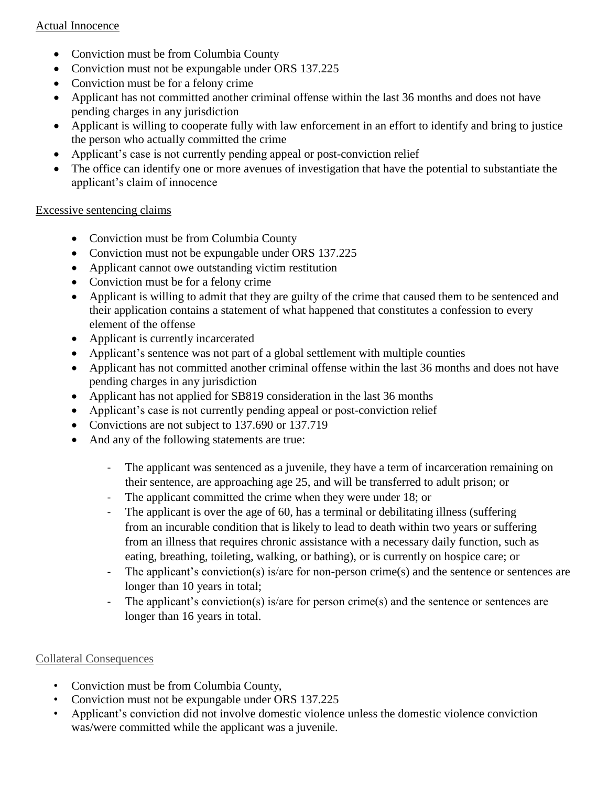## Actual Innocence

- Conviction must be from Columbia County
- Conviction must not be expungable under ORS 137.225
- Conviction must be for a felony crime
- Applicant has not committed another criminal offense within the last 36 months and does not have pending charges in any jurisdiction
- Applicant is willing to cooperate fully with law enforcement in an effort to identify and bring to justice the person who actually committed the crime
- Applicant's case is not currently pending appeal or post-conviction relief
- The office can identify one or more avenues of investigation that have the potential to substantiate the applicant's claim of innocence

## Excessive sentencing claims

- Conviction must be from Columbia County
- Conviction must not be expungable under ORS 137.225
- Applicant cannot owe outstanding victim restitution
- Conviction must be for a felony crime
- Applicant is willing to admit that they are guilty of the crime that caused them to be sentenced and their application contains a statement of what happened that constitutes a confession to every element of the offense
- Applicant is currently incarcerated
- Applicant's sentence was not part of a global settlement with multiple counties
- Applicant has not committed another criminal offense within the last 36 months and does not have pending charges in any jurisdiction
- Applicant has not applied for SB819 consideration in the last 36 months
- Applicant's case is not currently pending appeal or post-conviction relief
- Convictions are not subject to 137.690 or 137.719
- And any of the following statements are true:
	- The applicant was sentenced as a juvenile, they have a term of incarceration remaining on their sentence, are approaching age 25, and will be transferred to adult prison; or
	- The applicant committed the crime when they were under 18; or
	- The applicant is over the age of 60, has a terminal or debilitating illness (suffering from an incurable condition that is likely to lead to death within two years or suffering from an illness that requires chronic assistance with a necessary daily function, such as eating, breathing, toileting, walking, or bathing), or is currently on hospice care; or
	- The applicant's conviction(s) is/are for non-person crime(s) and the sentence or sentences are longer than 10 years in total;
	- The applicant's conviction(s) is/are for person crime(s) and the sentence or sentences are longer than 16 years in total.

# Collateral Consequences

- Conviction must be from Columbia County,
- Conviction must not be expungable under ORS 137.225
- Applicant's conviction did not involve domestic violence unless the domestic violence conviction was/were committed while the applicant was a juvenile.